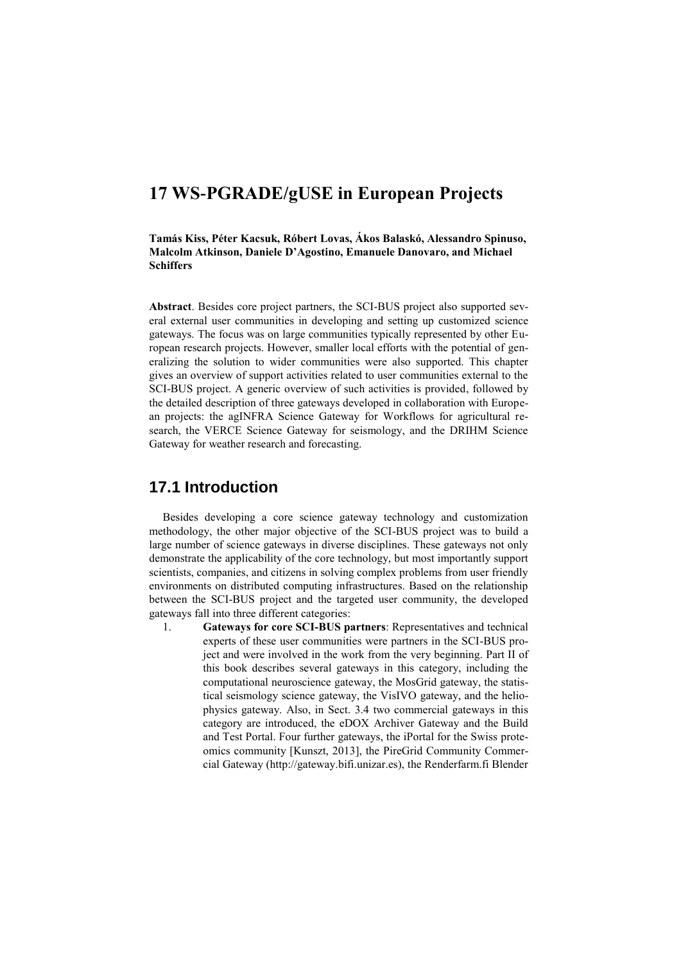# **17 WS-PGRADE/gUSE in European Projects**

**Tamás Kiss, Péter Kacsuk, Róbert Lovas, Ákos Balaskó, Alessandro Spinuso, Malcolm Atkinson, Daniele D'Agostino, Emanuele Danovaro, and Michael Schiffers**

**Abstract**. Besides core project partners, the SCI-BUS project also supported several external user communities in developing and setting up customized science gateways. The focus was on large communities typically represented by other European research projects. However, smaller local efforts with the potential of generalizing the solution to wider communities were also supported. This chapter gives an overview of support activities related to user communities external to the SCI-BUS project. A generic overview of such activities is provided, followed by the detailed description of three gateways developed in collaboration with European projects: the agINFRA Science Gateway for Workflows for agricultural research, the VERCE Science Gateway for seismology, and the DRIHM Science Gateway for weather research and forecasting.

# **17.1 Introduction**

Besides developing a core science gateway technology and customization methodology, the other major objective of the SCI-BUS project was to build a large number of science gateways in diverse disciplines. These gateways not only demonstrate the applicability of the core technology, but most importantly support scientists, companies, and citizens in solving complex problems from user friendly environments on distributed computing infrastructures. Based on the relationship between the SCI-BUS project and the targeted user community, the developed gateways fall into three different categories:

1. **Gateways for core SCI-BUS partners**: Representatives and technical experts of these user communities were partners in the SCI-BUS project and were involved in the work from the very beginning. Part II of this book describes several gateways in this category, including the computational neuroscience gateway, the MosGrid gateway, the statistical seismology science gateway, the VisIVO gateway, and the heliophysics gateway. Also, in Sect. 3.4 two commercial gateways in this category are introduced, the eDOX Archiver Gateway and the Build and Test Portal. Four further gateways, the iPortal for the Swiss proteomics community [Kunszt, 2013], the PireGrid Community Commercial Gateway (http://gateway.bifi.unizar.es), the Renderfarm.fi Blender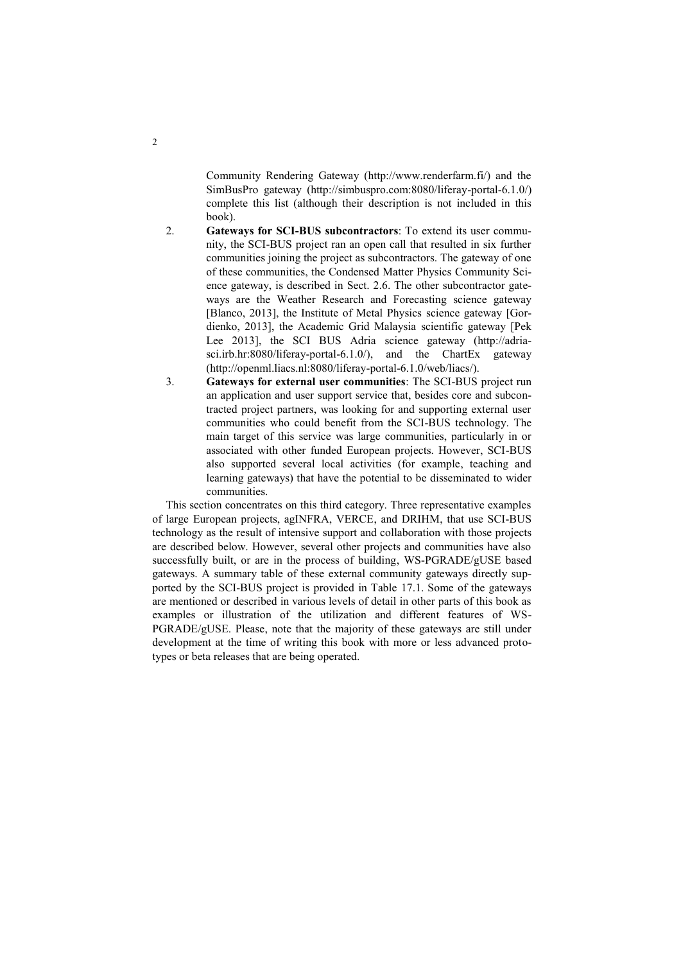Community Rendering Gateway (http://www.renderfarm.fi/) and the SimBusPro gateway (http://simbuspro.com:8080/liferay-portal-6.1.0/) complete this list (although their description is not included in this book).

- 2. **Gateways for SCI-BUS subcontractors**: To extend its user community, the SCI-BUS project ran an open call that resulted in six further communities joining the project as subcontractors. The gateway of one of these communities, the Condensed Matter Physics Community Science gateway, is described in Sect. 2.6. The other subcontractor gateways are the Weather Research and Forecasting science gateway [Blanco, 2013], the Institute of Metal Physics science gateway [Gordienko, 2013], the Academic Grid Malaysia scientific gateway [Pek Lee 2013], the SCI BUS Adria science gateway (http://adriasci.irb.hr:8080/liferay-portal-6.1.0/), and the ChartEx gateway (http://openml.liacs.nl:8080/liferay-portal-6.1.0/web/liacs/).
- 3. **Gateways for external user communities**: The SCI-BUS project run an application and user support service that, besides core and subcontracted project partners, was looking for and supporting external user communities who could benefit from the SCI-BUS technology. The main target of this service was large communities, particularly in or associated with other funded European projects. However, SCI-BUS also supported several local activities (for example, teaching and learning gateways) that have the potential to be disseminated to wider communities.

This section concentrates on this third category. Three representative examples of large European projects, agINFRA, VERCE, and DRIHM, that use SCI-BUS technology as the result of intensive support and collaboration with those projects are described below. However, several other projects and communities have also successfully built, or are in the process of building, WS-PGRADE/gUSE based gateways. A summary table of these external community gateways directly supported by the SCI-BUS project is provided in Table 17.1. Some of the gateways are mentioned or described in various levels of detail in other parts of this book as examples or illustration of the utilization and different features of WS-PGRADE/gUSE. Please, note that the majority of these gateways are still under development at the time of writing this book with more or less advanced prototypes or beta releases that are being operated.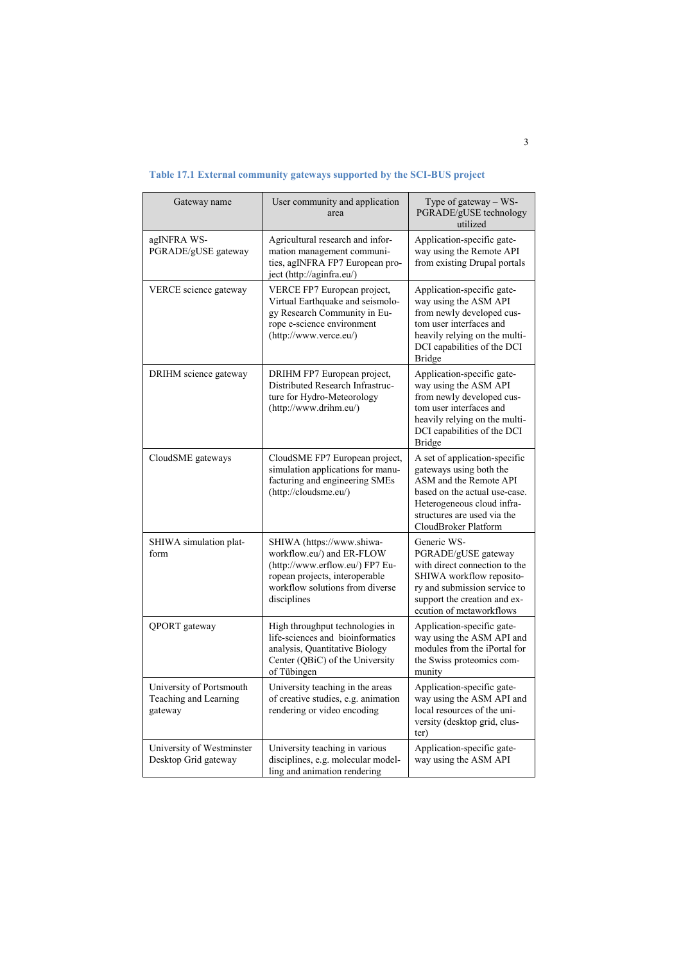## **Table 17.1 External community gateways supported by the SCI-BUS project**

| Gateway name                                                 | User community and application<br>area                                                                                                                                        | Type of gateway - WS-<br>PGRADE/gUSE technology<br>utilized                                                                                                                                              |
|--------------------------------------------------------------|-------------------------------------------------------------------------------------------------------------------------------------------------------------------------------|----------------------------------------------------------------------------------------------------------------------------------------------------------------------------------------------------------|
| agINFRA WS-<br>PGRADE/gUSE gateway                           | Agricultural research and infor-<br>mation management communi-<br>ties, agINFRA FP7 European pro-<br>ject (http://aginfra.eu/)                                                | Application-specific gate-<br>way using the Remote API<br>from existing Drupal portals                                                                                                                   |
| VERCE science gateway                                        | VERCE FP7 European project,<br>Virtual Earthquake and seismolo-<br>gy Research Community in Eu-<br>rope e-science environment<br>(http://www.verce.eu/)                       | Application-specific gate-<br>way using the ASM API<br>from newly developed cus-<br>tom user interfaces and<br>heavily relying on the multi-<br>DCI capabilities of the DCI<br><b>Bridge</b>             |
| DRIHM science gateway                                        | DRIHM FP7 European project,<br>Distributed Research Infrastruc-<br>ture for Hydro-Meteorology<br>(http://www.drihm.eu/)                                                       | Application-specific gate-<br>way using the ASM API<br>from newly developed cus-<br>tom user interfaces and<br>heavily relying on the multi-<br>DCI capabilities of the DCI<br><b>Bridge</b>             |
| CloudSME gateways                                            | CloudSME FP7 European project,<br>simulation applications for manu-<br>facturing and engineering SMEs<br>(http://cloudsme.eu/)                                                | A set of application-specific<br>gateways using both the<br>ASM and the Remote API<br>based on the actual use-case.<br>Heterogeneous cloud infra-<br>structures are used via the<br>CloudBroker Platform |
| SHIWA simulation plat-<br>form                               | SHIWA (https://www.shiwa-<br>workflow.eu/) and ER-FLOW<br>(http://www.erflow.eu/) FP7 Eu-<br>ropean projects, interoperable<br>workflow solutions from diverse<br>disciplines | Generic WS-<br>PGRADE/gUSE gateway<br>with direct connection to the<br>SHIWA workflow reposito-<br>ry and submission service to<br>support the creation and ex-<br>ecution of metaworkflows              |
| QPORT gateway                                                | High throughput technologies in<br>life-sciences and bioinformatics<br>analysis, Quantitative Biology<br>Center (QBiC) of the University<br>of Tübingen                       | Application-specific gate-<br>way using the ASM API and<br>modules from the iPortal for<br>the Swiss proteomics com-<br>munity                                                                           |
| University of Portsmouth<br>Teaching and Learning<br>gateway | University teaching in the areas<br>of creative studies, e.g. animation<br>rendering or video encoding                                                                        | Application-specific gate-<br>way using the ASM API and<br>local resources of the uni-<br>versity (desktop grid, clus-<br>ter)                                                                           |
| University of Westminster<br>Desktop Grid gateway            | University teaching in various<br>disciplines, e.g. molecular model-<br>ling and animation rendering                                                                          | Application-specific gate-<br>way using the ASM API                                                                                                                                                      |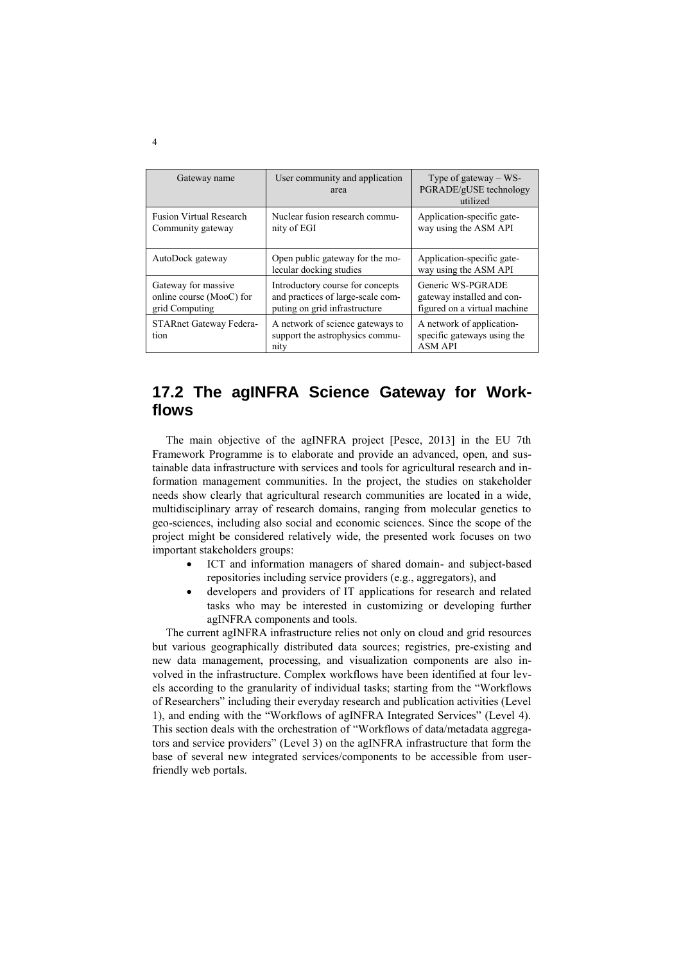| Gateway name                                                      | User community and application<br>area                                                                 | Type of gateway $-$ WS-<br>PGRADE/gUSE technology<br>utilized                   |
|-------------------------------------------------------------------|--------------------------------------------------------------------------------------------------------|---------------------------------------------------------------------------------|
| <b>Fusion Virtual Research</b><br>Community gateway               | Nuclear fusion research commu-<br>nity of EGI                                                          | Application-specific gate-<br>way using the ASM API                             |
| AutoDock gateway                                                  | Open public gateway for the mo-<br>lecular docking studies                                             | Application-specific gate-<br>way using the ASM API                             |
| Gateway for massive<br>online course (MooC) for<br>grid Computing | Introductory course for concepts<br>and practices of large-scale com-<br>puting on grid infrastructure | Generic WS-PGRADE<br>gateway installed and con-<br>figured on a virtual machine |
| STARnet Gateway Federa-<br>tion                                   | A network of science gateways to<br>support the astrophysics commu-<br>nity                            | A network of application-<br>specific gateways using the<br><b>ASM API</b>      |

# **17.2 The agINFRA Science Gateway for Workflows**

The main objective of the agINFRA project [Pesce, 2013] in the EU 7th Framework Programme is to elaborate and provide an advanced, open, and sustainable data infrastructure with services and tools for agricultural research and information management communities. In the project, the studies on stakeholder needs show clearly that agricultural research communities are located in a wide, multidisciplinary array of research domains, ranging from molecular genetics to geo-sciences, including also social and economic sciences. Since the scope of the project might be considered relatively wide, the presented work focuses on two important stakeholders groups:

- ICT and information managers of shared domain- and subject-based repositories including service providers (e.g., aggregators), and
- developers and providers of IT applications for research and related tasks who may be interested in customizing or developing further agINFRA components and tools.

The current agINFRA infrastructure relies not only on cloud and grid resources but various geographically distributed data sources; registries, pre-existing and new data management, processing, and visualization components are also involved in the infrastructure. Complex workflows have been identified at four levels according to the granularity of individual tasks; starting from the "Workflows of Researchers" including their everyday research and publication activities (Level 1), and ending with the "Workflows of agINFRA Integrated Services" (Level 4). This section deals with the orchestration of "Workflows of data/metadata aggregators and service providers" (Level 3) on the agINFRA infrastructure that form the base of several new integrated services/components to be accessible from userfriendly web portals.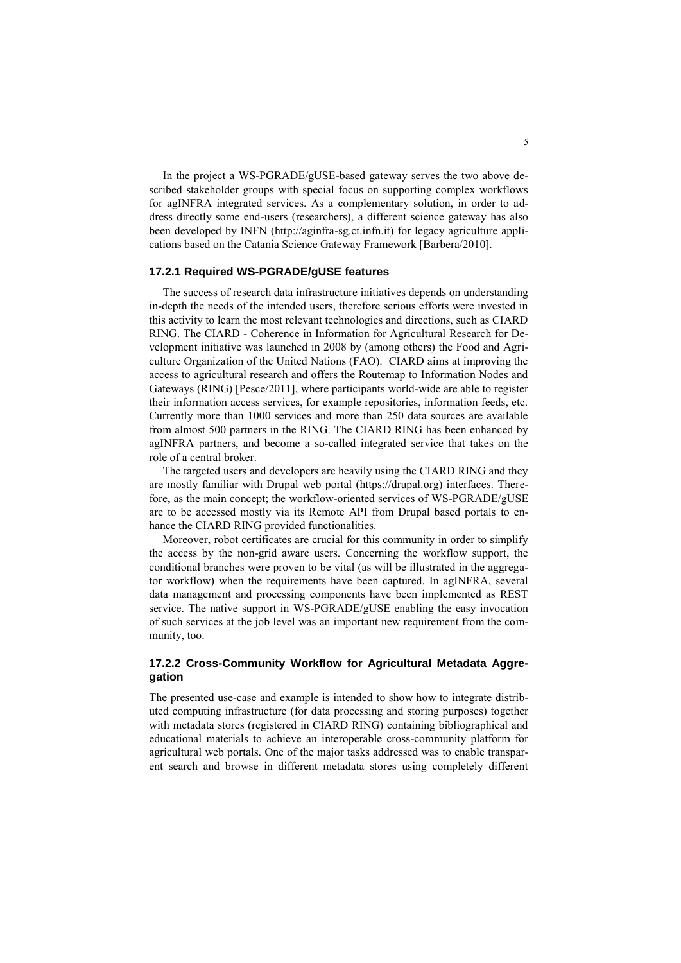In the project a WS-PGRADE/gUSE-based gateway serves the two above described stakeholder groups with special focus on supporting complex workflows for agINFRA integrated services. As a complementary solution, in order to address directly some end-users (researchers), a different science gateway has also been developed by INFN (http://aginfra-sg.ct.infn.it) for legacy agriculture applications based on the Catania Science Gateway Framework [Barbera/2010].

### **17.2.1 Required WS-PGRADE/gUSE features**

The success of research data infrastructure initiatives depends on understanding in-depth the needs of the intended users, therefore serious efforts were invested in this activity to learn the most relevant technologies and directions, such as CIARD RING. The CIARD - Coherence in Information for Agricultural Research for Development initiative was launched in 2008 by (among others) the Food and Agriculture Organization of the United Nations (FAO). CIARD aims at improving the access to agricultural research and offers the Routemap to Information Nodes and Gateways (RING) [Pesce/2011], where participants world-wide are able to register their information access services, for example repositories, information feeds, etc. Currently more than 1000 services and more than 250 data sources are available from almost 500 partners in the RING. The CIARD RING has been enhanced by agINFRA partners, and become a so-called integrated service that takes on the role of a central broker.

The targeted users and developers are heavily using the CIARD RING and they are mostly familiar with Drupal web portal (https://drupal.org) interfaces. Therefore, as the main concept; the workflow-oriented services of WS-PGRADE/gUSE are to be accessed mostly via its Remote API from Drupal based portals to enhance the CIARD RING provided functionalities.

Moreover, robot certificates are crucial for this community in order to simplify the access by the non-grid aware users. Concerning the workflow support, the conditional branches were proven to be vital (as will be illustrated in the aggregator workflow) when the requirements have been captured. In agINFRA, several data management and processing components have been implemented as REST service. The native support in WS-PGRADE/gUSE enabling the easy invocation of such services at the job level was an important new requirement from the community, too.

## **17.2.2 Cross-Community Workflow for Agricultural Metadata Aggregation**

The presented use-case and example is intended to show how to integrate distributed computing infrastructure (for data processing and storing purposes) together with metadata stores (registered in CIARD RING) containing bibliographical and educational materials to achieve an interoperable cross-community platform for agricultural web portals. One of the major tasks addressed was to enable transparent search and browse in different metadata stores using completely different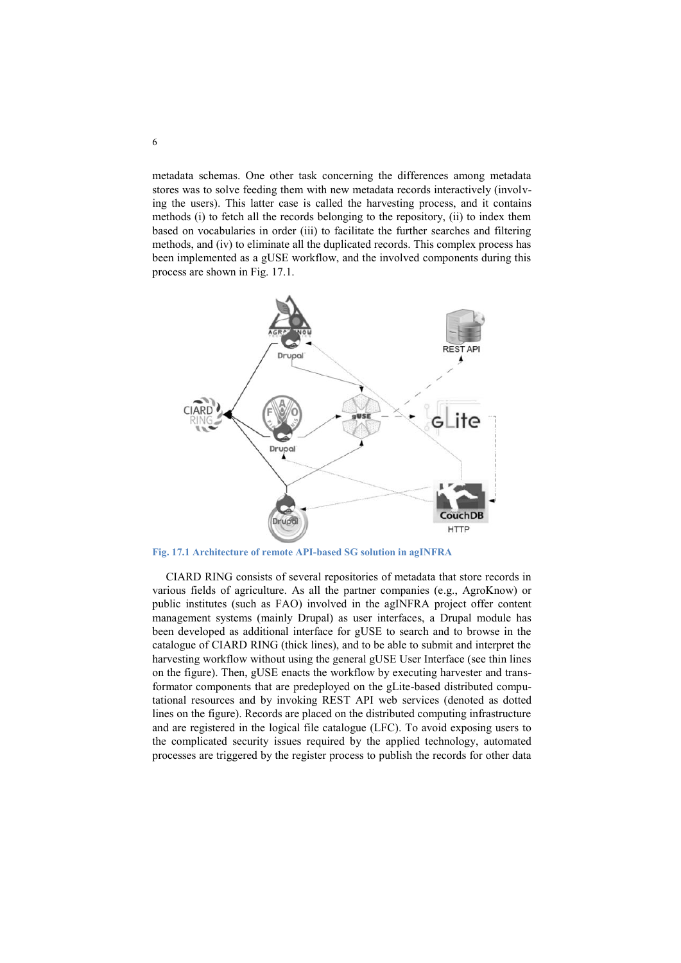metadata schemas. One other task concerning the differences among metadata stores was to solve feeding them with new metadata records interactively (involving the users). This latter case is called the harvesting process, and it contains methods (i) to fetch all the records belonging to the repository, (ii) to index them based on vocabularies in order (iii) to facilitate the further searches and filtering methods, and (iv) to eliminate all the duplicated records. This complex process has been implemented as a gUSE workflow, and the involved components during this process are shown in Fig. 17.1.



**Fig. 17.1 Architecture of remote API-based SG solution in agINFRA**

CIARD RING consists of several repositories of metadata that store records in various fields of agriculture. As all the partner companies (e.g., AgroKnow) or public institutes (such as FAO) involved in the agINFRA project offer content management systems (mainly Drupal) as user interfaces, a Drupal module has been developed as additional interface for gUSE to search and to browse in the catalogue of CIARD RING (thick lines), and to be able to submit and interpret the harvesting workflow without using the general gUSE User Interface (see thin lines on the figure). Then, gUSE enacts the workflow by executing harvester and transformator components that are predeployed on the gLite-based distributed computational resources and by invoking REST API web services (denoted as dotted lines on the figure). Records are placed on the distributed computing infrastructure and are registered in the logical file catalogue (LFC). To avoid exposing users to the complicated security issues required by the applied technology, automated processes are triggered by the register process to publish the records for other data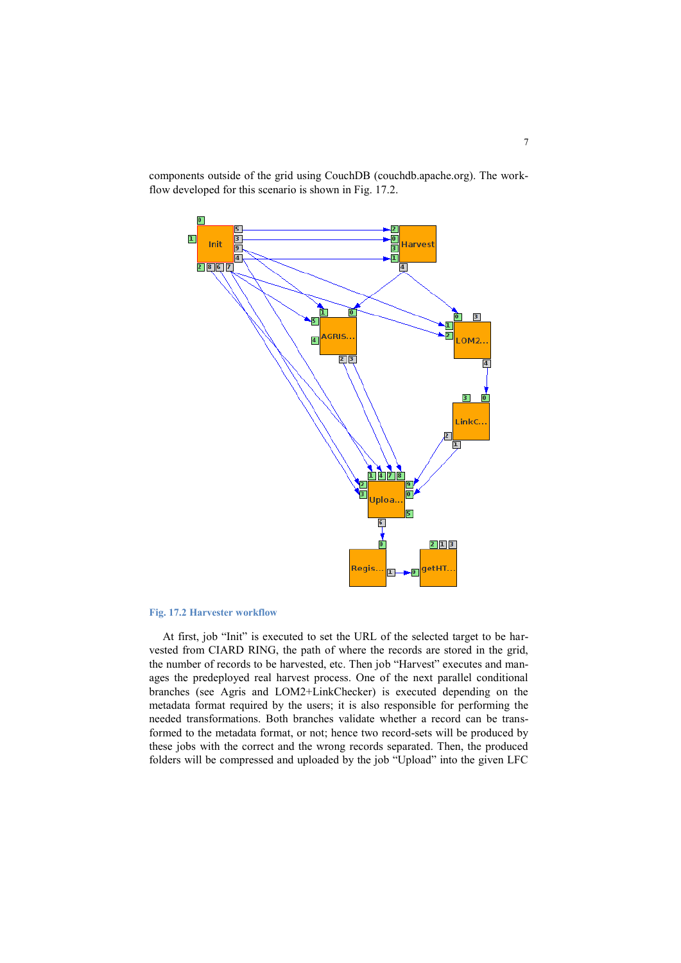

components outside of the grid using CouchDB (couchdb.apache.org). The workflow developed for this scenario is shown in Fig. 17.2.

#### **Fig. 17.2 Harvester workflow**

At first, job "Init" is executed to set the URL of the selected target to be harvested from CIARD RING, the path of where the records are stored in the grid, the number of records to be harvested, etc. Then job "Harvest" executes and manages the predeployed real harvest process. One of the next parallel conditional branches (see Agris and LOM2+LinkChecker) is executed depending on the metadata format required by the users; it is also responsible for performing the needed transformations. Both branches validate whether a record can be transformed to the metadata format, or not; hence two record-sets will be produced by these jobs with the correct and the wrong records separated. Then, the produced folders will be compressed and uploaded by the job "Upload" into the given LFC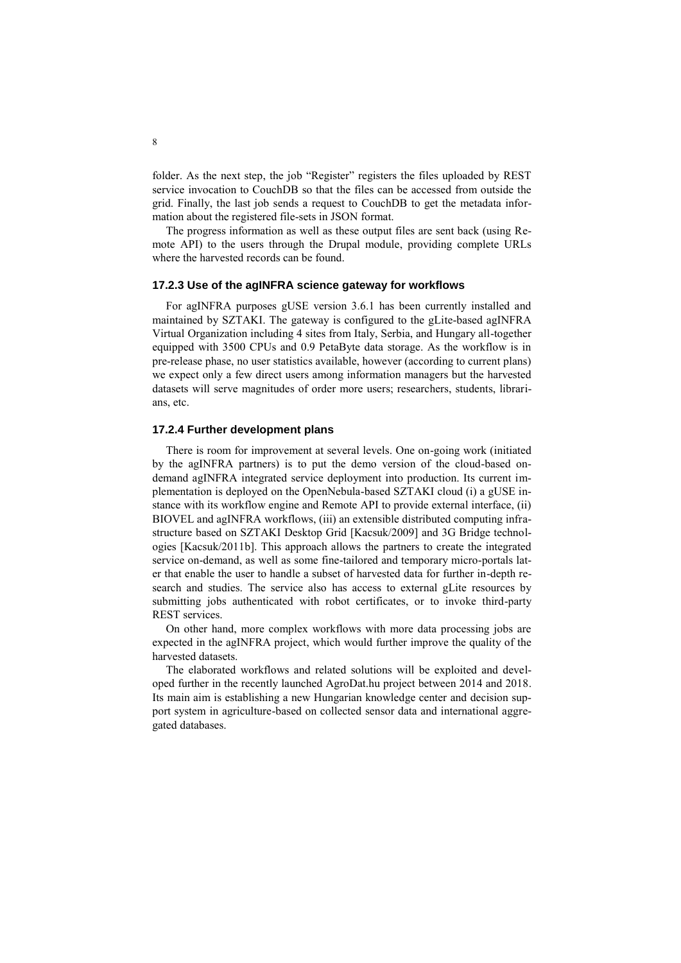folder. As the next step, the job "Register" registers the files uploaded by REST service invocation to CouchDB so that the files can be accessed from outside the grid. Finally, the last job sends a request to CouchDB to get the metadata information about the registered file-sets in JSON format.

The progress information as well as these output files are sent back (using Remote API) to the users through the Drupal module, providing complete URLs where the harvested records can be found.

### **17.2.3 Use of the agINFRA science gateway for workflows**

For agINFRA purposes gUSE version 3.6.1 has been currently installed and maintained by SZTAKI. The gateway is configured to the gLite-based agINFRA Virtual Organization including 4 sites from Italy, Serbia, and Hungary all-together equipped with 3500 CPUs and 0.9 PetaByte data storage. As the workflow is in pre-release phase, no user statistics available, however (according to current plans) we expect only a few direct users among information managers but the harvested datasets will serve magnitudes of order more users; researchers, students, librarians, etc.

## **17.2.4 Further development plans**

There is room for improvement at several levels. One on-going work (initiated by the agINFRA partners) is to put the demo version of the cloud-based ondemand agINFRA integrated service deployment into production. Its current implementation is deployed on the OpenNebula-based SZTAKI cloud (i) a gUSE instance with its workflow engine and Remote API to provide external interface, (ii) BIOVEL and agINFRA workflows, (iii) an extensible distributed computing infrastructure based on SZTAKI Desktop Grid [Kacsuk/2009] and 3G Bridge technologies [Kacsuk/2011b]. This approach allows the partners to create the integrated service on-demand, as well as some fine-tailored and temporary micro-portals later that enable the user to handle a subset of harvested data for further in-depth research and studies. The service also has access to external gLite resources by submitting jobs authenticated with robot certificates, or to invoke third-party REST services.

On other hand, more complex workflows with more data processing jobs are expected in the agINFRA project, which would further improve the quality of the harvested datasets.

The elaborated workflows and related solutions will be exploited and developed further in the recently launched AgroDat.hu project between 2014 and 2018. Its main aim is establishing a new Hungarian knowledge center and decision support system in agriculture-based on collected sensor data and international aggregated databases.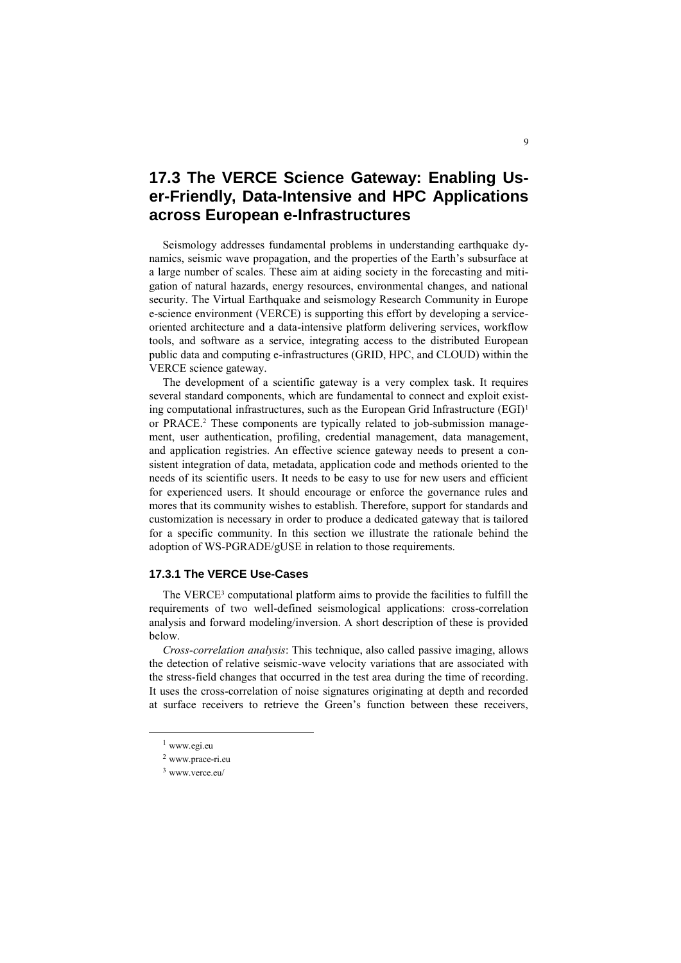# **17.3 The VERCE Science Gateway: Enabling User-Friendly, Data-Intensive and HPC Applications across European e-Infrastructures**

Seismology addresses fundamental problems in understanding earthquake dynamics, seismic wave propagation, and the properties of the Earth's subsurface at a large number of scales. These aim at aiding society in the forecasting and mitigation of natural hazards, energy resources, environmental changes, and national security. The Virtual Earthquake and seismology Research Community in Europe e-science environment (VERCE) is supporting this effort by developing a serviceoriented architecture and a data-intensive platform delivering services, workflow tools, and software as a service, integrating access to the distributed European public data and computing e-infrastructures (GRID, HPC, and CLOUD) within the VERCE science gateway.

The development of a scientific gateway is a very complex task. It requires several standard components, which are fundamental to connect and exploit existing computational infrastructures, such as the European Grid Infrastructure  $(EGI)^1$ or PRACE. <sup>2</sup> These components are typically related to job-submission management, user authentication, profiling, credential management, data management, and application registries. An effective science gateway needs to present a consistent integration of data, metadata, application code and methods oriented to the needs of its scientific users. It needs to be easy to use for new users and efficient for experienced users. It should encourage or enforce the governance rules and mores that its community wishes to establish. Therefore, support for standards and customization is necessary in order to produce a dedicated gateway that is tailored for a specific community. In this section we illustrate the rationale behind the adoption of WS-PGRADE/gUSE in relation to those requirements.

## **17.3.1 The VERCE Use-Cases**

The VERCE<sup>3</sup> computational platform aims to provide the facilities to fulfill the requirements of two well-defined seismological applications: cross-correlation analysis and forward modeling/inversion. A short description of these is provided below.

*Cross-correlation analysis*: This technique, also called passive imaging, allows the detection of relative seismic-wave velocity variations that are associated with the stress-field changes that occurred in the test area during the time of recording. It uses the cross-correlation of noise signatures originating at depth and recorded at surface receivers to retrieve the Green's function between these receivers,

-

<sup>1</sup> [www.egi.eu](http://www.egi.eu/)

<sup>2</sup> [www.prace-ri.eu](http://www.prace-ri.eu/)

<sup>3</sup> [www.verce.eu/](http://www.verce.eu/)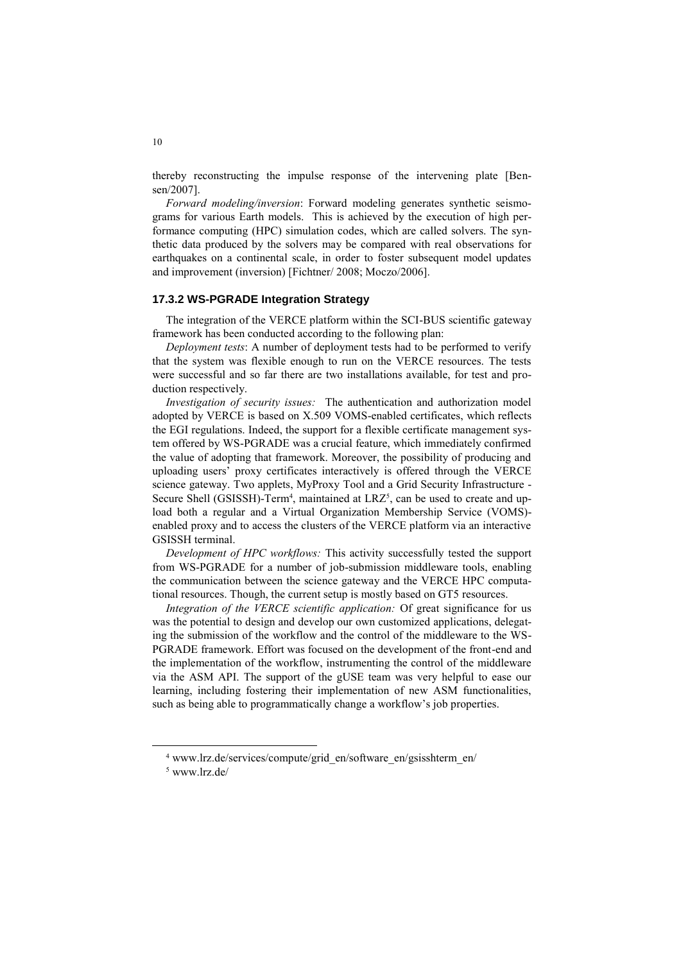thereby reconstructing the impulse response of the intervening plate [Bensen/2007].

*Forward modeling/inversion*: Forward modeling generates synthetic seismograms for various Earth models. This is achieved by the execution of high performance computing (HPC) simulation codes, which are called solvers. The synthetic data produced by the solvers may be compared with real observations for earthquakes on a continental scale, in order to foster subsequent model updates and improvement (inversion) [Fichtner/ 2008; Moczo/2006].

## **17.3.2 WS-PGRADE Integration Strategy**

The integration of the VERCE platform within the SCI-BUS scientific gateway framework has been conducted according to the following plan:

*Deployment tests*: A number of deployment tests had to be performed to verify that the system was flexible enough to run on the VERCE resources. The tests were successful and so far there are two installations available, for test and production respectively.

*Investigation of security issues:* The authentication and authorization model adopted by VERCE is based on X.509 VOMS-enabled certificates, which reflects the EGI regulations. Indeed, the support for a flexible certificate management system offered by WS-PGRADE was a crucial feature, which immediately confirmed the value of adopting that framework. Moreover, the possibility of producing and uploading users' proxy certificates interactively is offered through the VERCE science gateway. Two applets, MyProxy Tool and a Grid Security Infrastructure - Secure Shell (GSISSH)-Term<sup>4</sup>, maintained at  $LRZ^5$ , can be used to create and upload both a regular and a Virtual Organization Membership Service (VOMS) enabled proxy and to access the clusters of the VERCE platform via an interactive GSISSH terminal.

*Development of HPC workflows:* This activity successfully tested the support from WS-PGRADE for a number of job-submission middleware tools, enabling the communication between the science gateway and the VERCE HPC computational resources. Though, the current setup is mostly based on GT5 resources.

*Integration of the VERCE scientific application:* Of great significance for us was the potential to design and develop our own customized applications, delegating the submission of the workflow and the control of the middleware to the WS-PGRADE framework. Effort was focused on the development of the front-end and the implementation of the workflow, instrumenting the control of the middleware via the ASM API. The support of the gUSE team was very helpful to ease our learning, including fostering their implementation of new ASM functionalities, such as being able to programmatically change a workflow's job properties.

-

<sup>4</sup> www.lrz.de/services/compute/grid\_en/software\_en/gsisshterm\_en/

<sup>5</sup> www.lrz.de/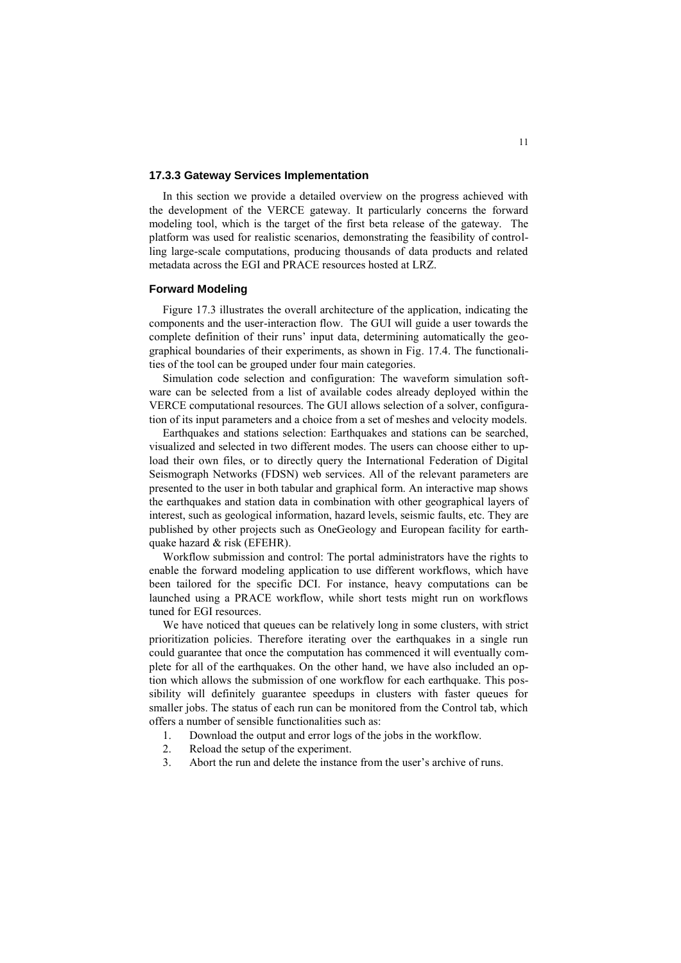#### **17.3.3 Gateway Services Implementation**

In this section we provide a detailed overview on the progress achieved with the development of the VERCE gateway. It particularly concerns the forward modeling tool, which is the target of the first beta release of the gateway. The platform was used for realistic scenarios, demonstrating the feasibility of controlling large-scale computations, producing thousands of data products and related metadata across the EGI and PRACE resources hosted at LRZ.

#### **Forward Modeling**

Figure 17.3 illustrates the overall architecture of the application, indicating the components and the user-interaction flow. The GUI will guide a user towards the complete definition of their runs' input data, determining automatically the geographical boundaries of their experiments, as shown in Fig. 17.4. The functionalities of the tool can be grouped under four main categories.

Simulation code selection and configuration: The waveform simulation software can be selected from a list of available codes already deployed within the VERCE computational resources. The GUI allows selection of a solver, configuration of its input parameters and a choice from a set of meshes and velocity models.

Earthquakes and stations selection: Earthquakes and stations can be searched, visualized and selected in two different modes. The users can choose either to upload their own files, or to directly query the International Federation of Digital Seismograph Networks (FDSN) web services. All of the relevant parameters are presented to the user in both tabular and graphical form. An interactive map shows the earthquakes and station data in combination with other geographical layers of interest, such as geological information, hazard levels, seismic faults, etc. They are published by other projects such as OneGeology and European facility for earthquake hazard & risk (EFEHR).

Workflow submission and control: The portal administrators have the rights to enable the forward modeling application to use different workflows, which have been tailored for the specific DCI. For instance, heavy computations can be launched using a PRACE workflow, while short tests might run on workflows tuned for EGI resources.

We have noticed that queues can be relatively long in some clusters, with strict prioritization policies. Therefore iterating over the earthquakes in a single run could guarantee that once the computation has commenced it will eventually complete for all of the earthquakes. On the other hand, we have also included an option which allows the submission of one workflow for each earthquake. This possibility will definitely guarantee speedups in clusters with faster queues for smaller jobs. The status of each run can be monitored from the Control tab, which offers a number of sensible functionalities such as:

- 1. Download the output and error logs of the jobs in the workflow.
- 2. Reload the setup of the experiment.
- 3. Abort the run and delete the instance from the user's archive of runs.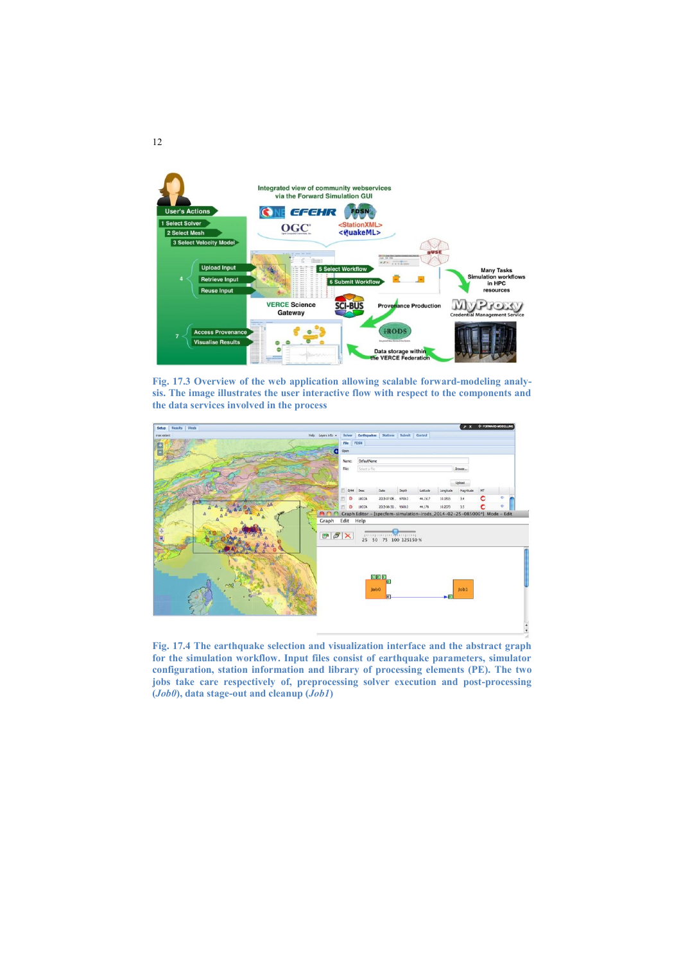

**Fig. 17.3 Overview of the web application allowing scalable forward-modeling analysis. The image illustrates the user interactive flow with respect to the components and the data services involved in the process**



**Fig. 17.4 The earthquake selection and visualization interface and the abstract graph for the simulation workflow. Input files consist of earthquake parameters, simulator configuration, station information and library of processing elements (PE). The two jobs take care respectively of, preprocessing solver execution and post-processing (***Job0***), data stage-out and cleanup (***Job1***)**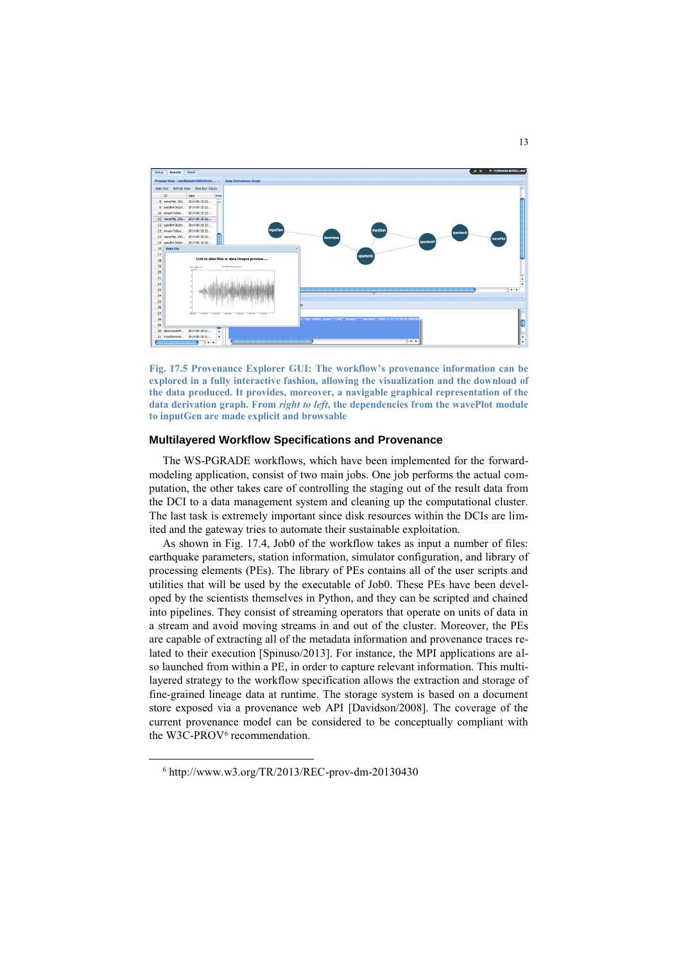

**Fig. 17.5 Provenance Explorer GUI: The workflow's provenance information can be explored in a fully interactive fashion, allowing the visualization and the download of the data produced. It provides, moreover, a navigable graphical representation of the data derivation graph. From** *right to left***, the dependencies from the wavePlot module to inputGen are made explicit and browsable**

#### **Multilayered Workflow Specifications and Provenance**

The WS-PGRADE workflows, which have been implemented for the forwardmodeling application, consist of two main jobs. One job performs the actual computation, the other takes care of controlling the staging out of the result data from the DCI to a data management system and cleaning up the computational cluster. The last task is extremely important since disk resources within the DCIs are limited and the gateway tries to automate their sustainable exploitation.

As shown in Fig. 17.4, Job0 of the workflow takes as input a number of files: earthquake parameters, station information, simulator configuration, and library of processing elements (PEs). The library of PEs contains all of the user scripts and utilities that will be used by the executable of Job0. These PEs have been developed by the scientists themselves in Python, and they can be scripted and chained into pipelines. They consist of streaming operators that operate on units of data in a stream and avoid moving streams in and out of the cluster. Moreover, the PEs are capable of extracting all of the metadata information and provenance traces related to their execution [Spinuso/2013]. For instance, the MPI applications are also launched from within a PE, in order to capture relevant information. This multilayered strategy to the workflow specification allows the extraction and storage of fine-grained lineage data at runtime. The storage system is based on a document store exposed via a provenance web API [Davidson/2008]. The coverage of the current provenance model can be considered to be conceptually compliant with the W3C-PROV<sup>6</sup> recommendation.

-

<sup>6</sup> http://www.w3.org/TR/2013/REC-prov-dm-20130430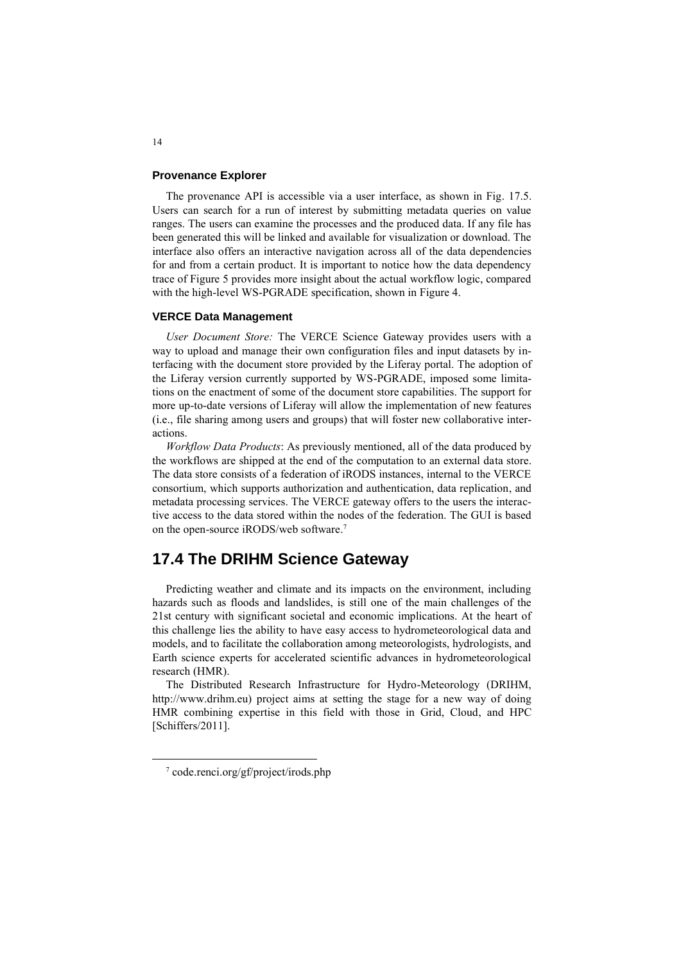#### **Provenance Explorer**

The provenance API is accessible via a user interface, as shown in Fig. 17.5. Users can search for a run of interest by submitting metadata queries on value ranges. The users can examine the processes and the produced data. If any file has been generated this will be linked and available for visualization or download. The interface also offers an interactive navigation across all of the data dependencies for and from a certain product. It is important to notice how the data dependency trace of Figure 5 provides more insight about the actual workflow logic, compared with the high-level WS-PGRADE specification, shown in Figure 4.

### **VERCE Data Management**

*User Document Store:* The VERCE Science Gateway provides users with a way to upload and manage their own configuration files and input datasets by interfacing with the document store provided by the Liferay portal. The adoption of the Liferay version currently supported by WS-PGRADE, imposed some limitations on the enactment of some of the document store capabilities. The support for more up-to-date versions of Liferay will allow the implementation of new features (i.e., file sharing among users and groups) that will foster new collaborative interactions.

*Workflow Data Products*: As previously mentioned, all of the data produced by the workflows are shipped at the end of the computation to an external data store. The data store consists of a federation of iRODS instances, internal to the VERCE consortium, which supports authorization and authentication, data replication, and metadata processing services. The VERCE gateway offers to the users the interactive access to the data stored within the nodes of the federation. The GUI is based on the open-source iRODS/web software. 7

## **17.4 The DRIHM Science Gateway**

Predicting weather and climate and its impacts on the environment, including hazards such as floods and landslides, is still one of the main challenges of the 21st century with significant societal and economic implications. At the heart of this challenge lies the ability to have easy access to hydrometeorological data and models, and to facilitate the collaboration among meteorologists, hydrologists, and Earth science experts for accelerated scientific advances in hydrometeorological research (HMR).

The Distributed Research Infrastructure for Hydro-Meteorology (DRIHM, http://www.drihm.eu) project aims at setting the stage for a new way of doing HMR combining expertise in this field with those in Grid, Cloud, and HPC [Schiffers/2011].

-

<sup>7</sup> code.renci.org/gf/project/irods.php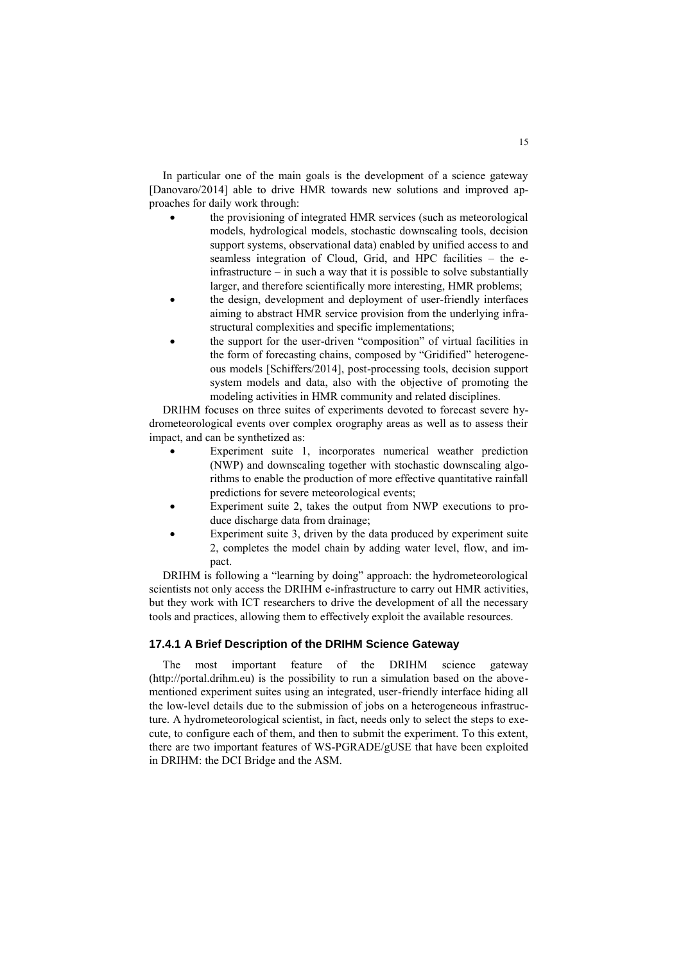In particular one of the main goals is the development of a science gateway [Danovaro/2014] able to drive HMR towards new solutions and improved approaches for daily work through:

- the provisioning of integrated HMR services (such as meteorological models, hydrological models, stochastic downscaling tools, decision support systems, observational data) enabled by unified access to and seamless integration of Cloud, Grid, and HPC facilities – the einfrastructure – in such a way that it is possible to solve substantially larger, and therefore scientifically more interesting, HMR problems;
- the design, development and deployment of user-friendly interfaces aiming to abstract HMR service provision from the underlying infrastructural complexities and specific implementations;
- the support for the user-driven "composition" of virtual facilities in the form of forecasting chains, composed by "Gridified" heterogeneous models [Schiffers/2014], post-processing tools, decision support system models and data, also with the objective of promoting the modeling activities in HMR community and related disciplines.

DRIHM focuses on three suites of experiments devoted to forecast severe hydrometeorological events over complex orography areas as well as to assess their impact, and can be synthetized as:

- Experiment suite 1, incorporates numerical weather prediction (NWP) and downscaling together with stochastic downscaling algorithms to enable the production of more effective quantitative rainfall predictions for severe meteorological events;
- Experiment suite 2, takes the output from NWP executions to produce discharge data from drainage;
- Experiment suite 3, driven by the data produced by experiment suite 2, completes the model chain by adding water level, flow, and impact.

DRIHM is following a "learning by doing" approach: the hydrometeorological scientists not only access the DRIHM e-infrastructure to carry out HMR activities, but they work with ICT researchers to drive the development of all the necessary tools and practices, allowing them to effectively exploit the available resources.

## **17.4.1 A Brief Description of the DRIHM Science Gateway**

The most important feature of the DRIHM science gateway (http://portal.drihm.eu) is the possibility to run a simulation based on the abovementioned experiment suites using an integrated, user-friendly interface hiding all the low-level details due to the submission of jobs on a heterogeneous infrastructure. A hydrometeorological scientist, in fact, needs only to select the steps to execute, to configure each of them, and then to submit the experiment. To this extent, there are two important features of WS-PGRADE/gUSE that have been exploited in DRIHM: the DCI Bridge and the ASM.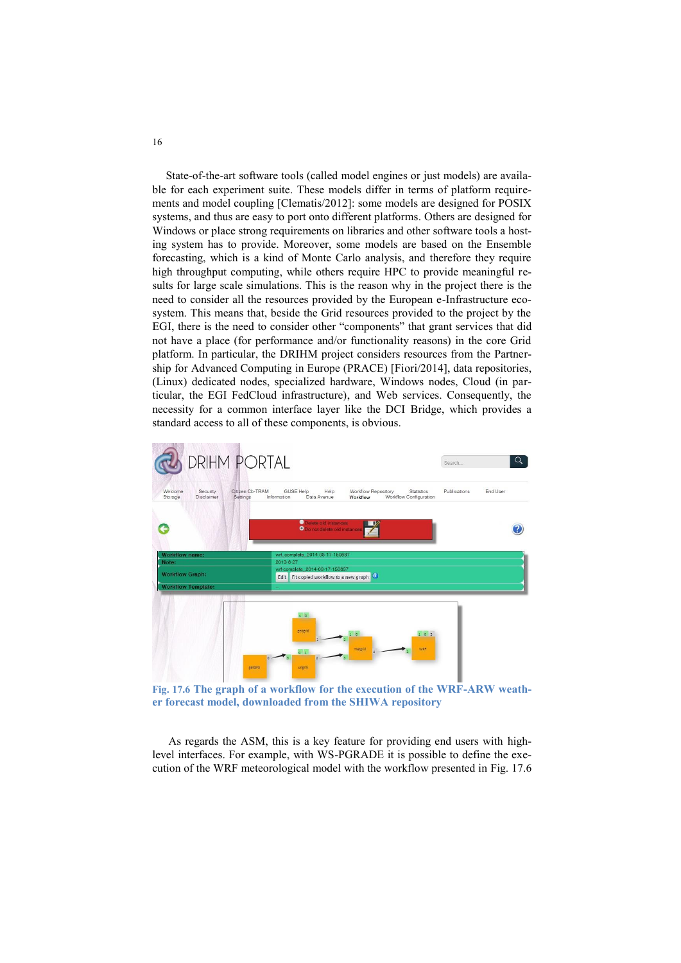State-of-the-art software tools (called model engines or just models) are available for each experiment suite. These models differ in terms of platform requirements and model coupling [Clematis/2012]: some models are designed for POSIX systems, and thus are easy to port onto different platforms. Others are designed for Windows or place strong requirements on libraries and other software tools a hosting system has to provide. Moreover, some models are based on the Ensemble forecasting, which is a kind of Monte Carlo analysis, and therefore they require high throughput computing, while others require HPC to provide meaningful results for large scale simulations. This is the reason why in the project there is the need to consider all the resources provided by the European e-Infrastructure ecosystem. This means that, beside the Grid resources provided to the project by the EGI, there is the need to consider other "components" that grant services that did not have a place (for performance and/or functionality reasons) in the core Grid platform. In particular, the DRIHM project considers resources from the Partnership for Advanced Computing in Europe (PRACE) [Fiori/2014], data repositories, (Linux) dedicated nodes, specialized hardware, Windows nodes, Cloud (in particular, the EGI FedCloud infrastructure), and Web services. Consequently, the necessity for a common interface layer like the DCI Bridge, which provides a standard access to all of these components, is obvious.



**Fig. 17.6 The graph of a workflow for the execution of the WRF-ARW weather forecast model, downloaded from the SHIWA repository**

As regards the ASM, this is a key feature for providing end users with highlevel interfaces. For example, with WS-PGRADE it is possible to define the execution of the WRF meteorological model with the workflow presented in Fig. 17.6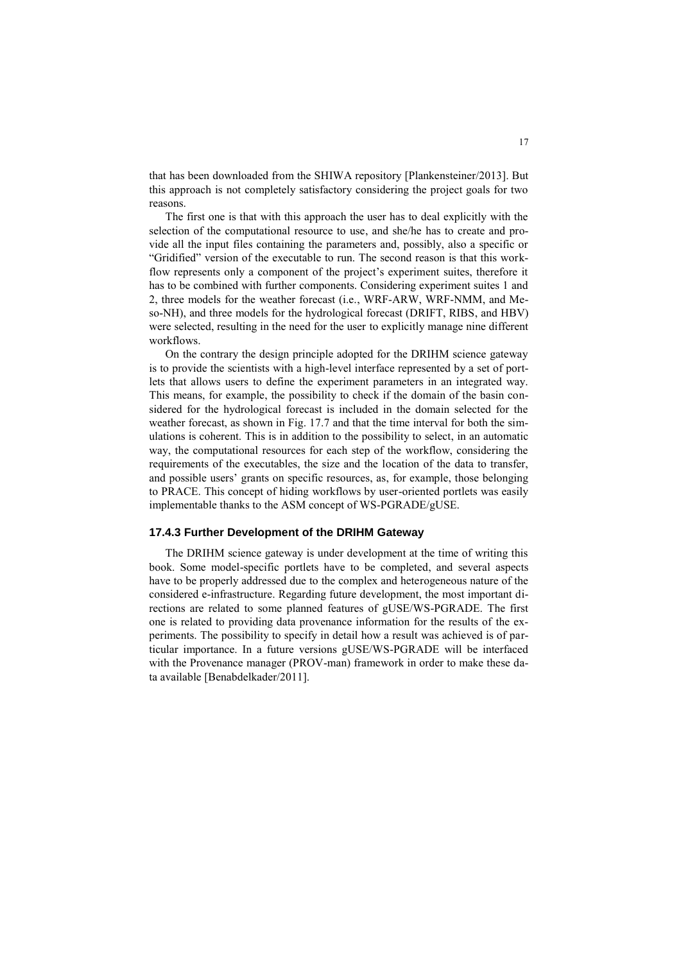that has been downloaded from the SHIWA repository [Plankensteiner/2013]. But this approach is not completely satisfactory considering the project goals for two reasons.

The first one is that with this approach the user has to deal explicitly with the selection of the computational resource to use, and she/he has to create and provide all the input files containing the parameters and, possibly, also a specific or "Gridified" version of the executable to run. The second reason is that this workflow represents only a component of the project's experiment suites, therefore it has to be combined with further components. Considering experiment suites 1 and 2, three models for the weather forecast (i.e., WRF-ARW, WRF-NMM, and Meso-NH), and three models for the hydrological forecast (DRIFT, RIBS, and HBV) were selected, resulting in the need for the user to explicitly manage nine different workflows.

On the contrary the design principle adopted for the DRIHM science gateway is to provide the scientists with a high-level interface represented by a set of portlets that allows users to define the experiment parameters in an integrated way. This means, for example, the possibility to check if the domain of the basin considered for the hydrological forecast is included in the domain selected for the weather forecast, as shown in Fig. 17.7 and that the time interval for both the simulations is coherent. This is in addition to the possibility to select, in an automatic way, the computational resources for each step of the workflow, considering the requirements of the executables, the size and the location of the data to transfer, and possible users' grants on specific resources, as, for example, those belonging to PRACE. This concept of hiding workflows by user-oriented portlets was easily implementable thanks to the ASM concept of WS-PGRADE/gUSE.

## **17.4.3 Further Development of the DRIHM Gateway**

The DRIHM science gateway is under development at the time of writing this book. Some model-specific portlets have to be completed, and several aspects have to be properly addressed due to the complex and heterogeneous nature of the considered e-infrastructure. Regarding future development, the most important directions are related to some planned features of gUSE/WS-PGRADE. The first one is related to providing data provenance information for the results of the experiments. The possibility to specify in detail how a result was achieved is of particular importance. In a future versions gUSE/WS-PGRADE will be interfaced with the Provenance manager (PROV-man) framework in order to make these data available [Benabdelkader/2011].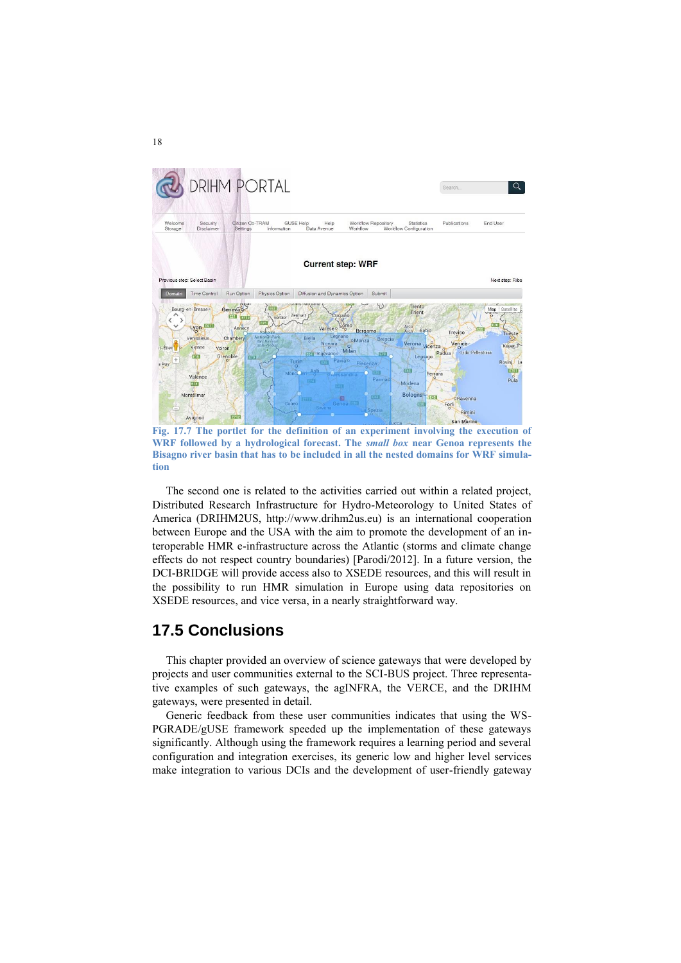

**Fig. 17.7 The portlet for the definition of an experiment involving the execution of WRF followed by a hydrological forecast. The** *small box* **near Genoa represents the Bisagno river basin that has to be included in all the nested domains for WRF simulation**

The second one is related to the activities carried out within a related project, Distributed Research Infrastructure for Hydro-Meteorology to United States of America (DRIHM2US, http://www.drihm2us.eu) is an international cooperation between Europe and the USA with the aim to promote the development of an interoperable HMR e-infrastructure across the Atlantic (storms and climate change effects do not respect country boundaries) [Parodi/2012]. In a future version, the DCI-BRIDGE will provide access also to XSEDE resources, and this will result in the possibility to run HMR simulation in Europe using data repositories on XSEDE resources, and vice versa, in a nearly straightforward way.

## **17.5 Conclusions**

This chapter provided an overview of science gateways that were developed by projects and user communities external to the SCI-BUS project. Three representative examples of such gateways, the agINFRA, the VERCE, and the DRIHM gateways, were presented in detail.

Generic feedback from these user communities indicates that using the WS-PGRADE/gUSE framework speeded up the implementation of these gateways significantly. Although using the framework requires a learning period and several configuration and integration exercises, its generic low and higher level services make integration to various DCIs and the development of user-friendly gateway